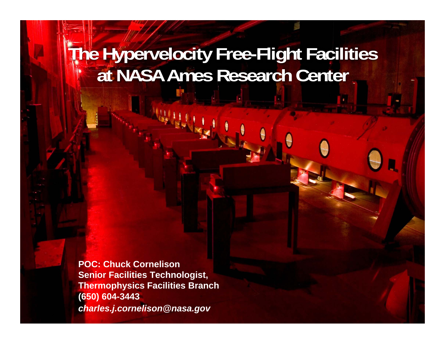# **All The Hypervelocity Free-Flight Facilities at NASA Ames Research Center**

**POC: Chuck CornelisonSenior Facilities Technologist, Thermophysics Facilities Branch (650) 604-3443** *charles.j.cornelison@nasa.gov*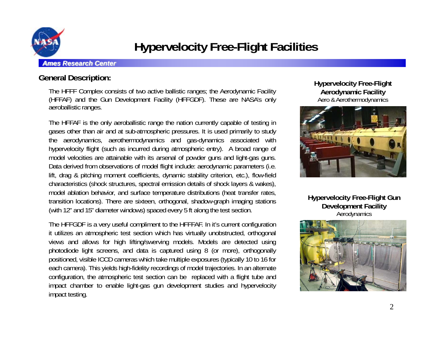

## **Hypervelocity Free-Flight Facilities**

#### *Ames Research Center*

## **General Description:**

The HFFF Complex consists of two active ballistic ranges; the Aerodynamic Facility (HFFAF) and the Gun Development Facility (HFFGDF). These are NASA's only aeroballistic ranges.

The HFFAF is the only aeroballistic range the nation currently capable of testing in gases other than air and at sub-atmospheric pressures. It is used primarily to study the aerodynamics, aerothermodynamics and gas-dynamics associated with hypervelocity flight (such as incurred during atmospheric entry). A broad range of model velocities are attainable with its arsenal of powder guns and light-gas guns. Data derived from observations of model flight include: aerodynamic parameters (i.e. lift, drag & pitching moment coefficients, dynamic stability criterion, etc.), flow-field characteristics (shock structures, spectral emission details of shock layers & wakes), model ablation behavior, and surface temperature distributions (heat transfer rates, transition locations). There are sixteen, orthogonal, shadow-graph imaging stations (with 12" and 15" diameter windows) spaced every 5 ft along the test section.

The HFFGDF is <sup>a</sup> very useful compliment to the HFFFAF. In it's current configuration it utilizes an atmospheric test section which has virtually unobstructed, orthogonal views and allows for high lifting/swerving models. Models are detected using photodiode light screens, and data is captured using 8 (or more), orthogonally positioned, visible ICCD cameras which take multiple exposures (typically 10 to 16 for each camera). This yields high-fidelity recordings of model trajectories. In an alternate configuration, the atmospheric test section can be replaced with <sup>a</sup> flight tube and impact chamber to enable light-gas gun development studies and hypervelocity impact testing.

**Hypervelocity Free-Flight Aerodynamic Facility** Aero & Aerothermodynamics



**Hypervelocity Free-Flight Gun Development Facility Aerodynamics** 

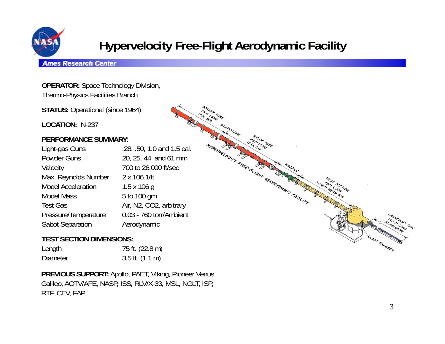

## **Hypervelocity Free-Flight Aerodynamic Facility**

CLONG

es ricord TUBE-

TREATED CITY TREE TO MANUSCRANGE CACILITY

#### *Ames Research Center*

**OPERATOR:** Space Technology Division, Thermo-Physics Facilities Branch

**STATUS: Operational (since 1964)** 

**LOCATION:** N-237

### **PERFORMANCE SUMMARY:**

Light-gas Guns .28, .50, 1.0 and 1.5 cal. Powder Guns 20, 25, 44 and 61 mm Velocity 700 to 26,000 ft/sec Max. Reynolds Number 2 x 106 1/ft Model Acceleration 1.5 x 106 g Model Mass 5 to 100 gm Test Gas Air, N2, CO2, arbitrary Pressure/Temperature 0.03 - 760 torr/Ambient Sabot Separation **Aerodynamic** 

### **TEST SECTION DIMENSIONS:**

| Length          | 75 ft. (22.8 m)             |
|-----------------|-----------------------------|
| <b>Diameter</b> | $3.5$ ft. $(1.1 \text{ m})$ |

**PREVIOUS SUPPORT:** Apollo, PAET, Viking, Pioneer Venus, Galileo, AOTV/AFE, NASP, ISS, RLV/X-33, MSL, NGLT, ISP, RTF, CEV, FAP.

AST CHAMBER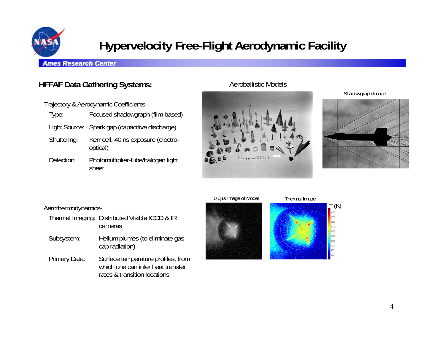

## **Hypervelocity Free-Flight Aerodynamic Facility**

#### *Ames Research Center*

## **HFFAF Data Gathering Systems:**

Trajectory & Aerodynamic Coefficients-

- Type: Focused shadowgraph (film-based) Light Source: Spark gap (capacitive discharge)
- Shuttering: Kerr cell, 40 ns exposure (electrooptical)
- Detection: Photomultiplier-tube/halogen light sheet

### Aeroballistic Models



Shadowgraph Image



#### Aerothermodynamics-

- Thermal Imaging: Distributed Visible ICCD & IR cameras
- Subsystem: Helium plumes (to eliminate gas cap radiation)
- Primary Data: Surface temperature profiles, from which one can infer heat transfer rates & transition locations



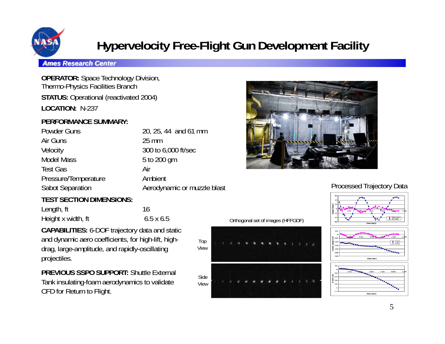

## **Hypervelocity Free-Flight Gun Development Facility**

Side View

Top View

#### *Ames Research Center*

**OPERATOR:** Space Technology Division, Thermo-Physics Facilities Branch **STATUS: Operational (reactivated 2004) LOCATION:** N-237

### **PERFORMANCE SUMMARY:**

| 20, 25, 44 and 61 mm        |
|-----------------------------|
| $25 \text{ mm}$             |
| 300 to 6,000 ft/sec         |
| 5 to 200 gm                 |
| Air                         |
| Ambient                     |
| Aerodynamic or muzzle blast |
|                             |

## **TEST SECTION DIMENSIONS:**

| Length, ft         | 16               |
|--------------------|------------------|
| Height x width, ft | $6.5 \times 6.5$ |

**CAPABILITIES:** 6-DOF trajectory data and static and dynamic aero coefficients, for high-lift, highdrag, large-amplitude, and rapidly-oscillating projectiles.

**PREVIOUS SSPO SUPPORT:** Shuttle External Tank insulating-foam aerodynamics to validate CFD for Return to Flight.



### Processed Trajectory Data



time (sec) time (sec)